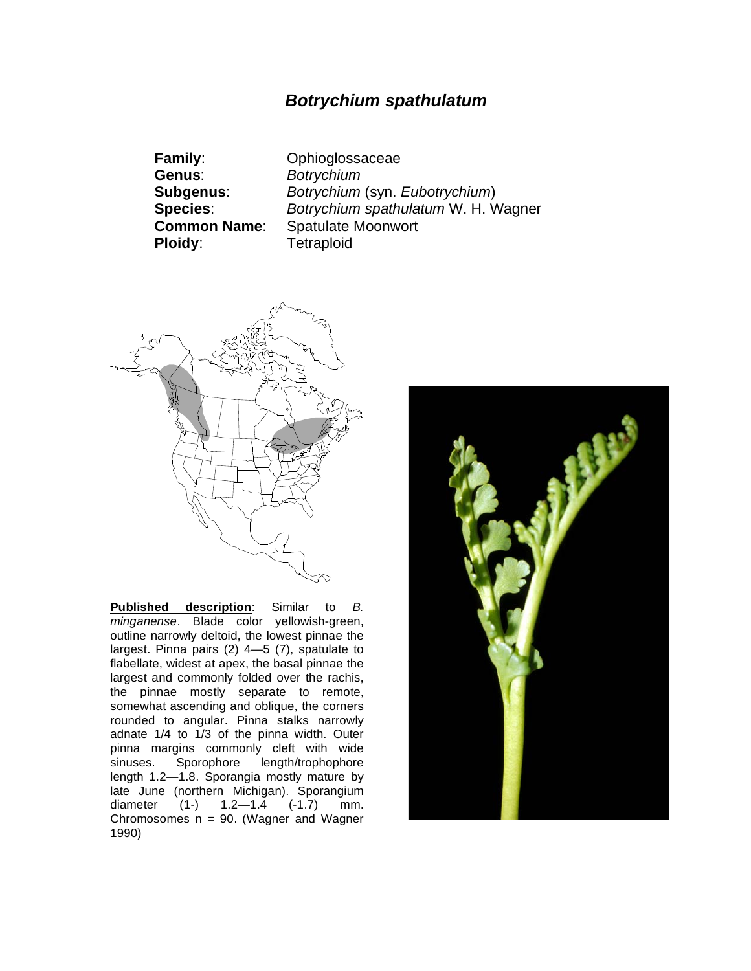## *Botrychium spathulatum*

**Family**: Ophioglossaceae **Genus**: *Botrychium* **Ploidy:** Tetraploid

**Subgenus**: *Botrychium* (syn. *Eubotrychium*) **Species**: *Botrychium spathulatum* W. H. Wagner **Common Name**: Spatulate Moonwort



**Published description**: Similar to *B. minganense*. Blade color yellowish-green, outline narrowly deltoid, the lowest pinnae the largest. Pinna pairs (2) 4—5 (7), spatulate to flabellate, widest at apex, the basal pinnae the largest and commonly folded over the rachis, the pinnae mostly separate to remote, somewhat ascending and oblique, the corners rounded to angular. Pinna stalks narrowly adnate 1/4 to 1/3 of the pinna width. Outer pinna margins commonly cleft with wide<br>sinuses. Sporophore length/trophophore sinuses. Sporophore length/trophophore length 1.2—1.8. Sporangia mostly mature by late June (northern Michigan). Sporangium diameter (1-) 1.2—1.4 (-1.7) mm. Chromosomes  $n = 90$ . (Wagner and Wagner 1990)

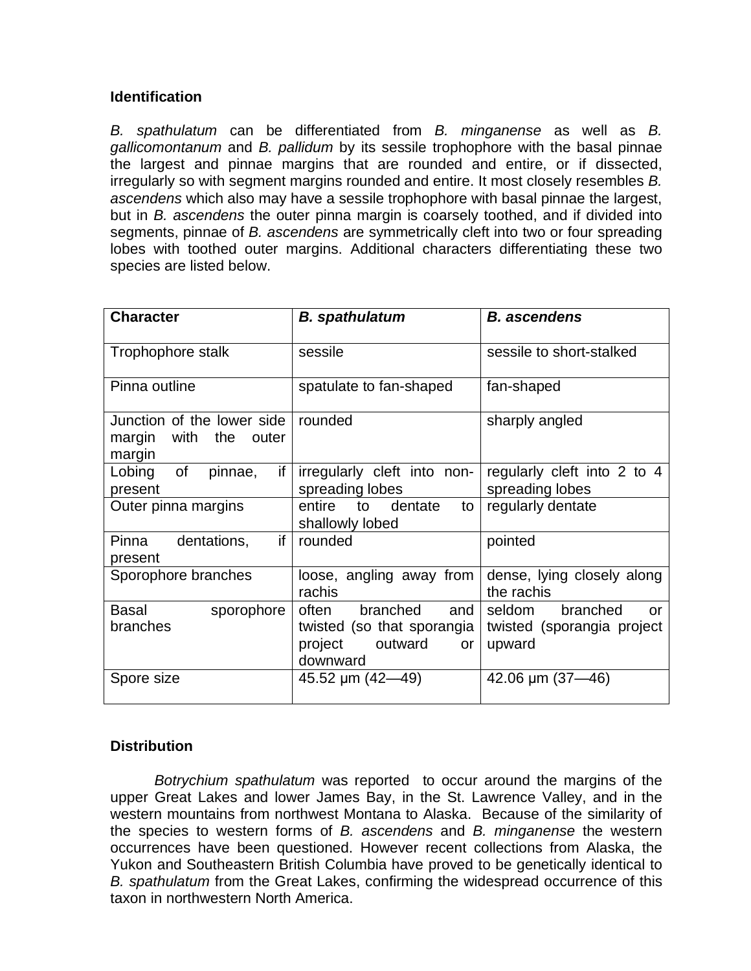### **Identification**

*B. spathulatum* can be differentiated from *B. minganense* as well as *B. gallicomontanum* and *B. pallidum* by its sessile trophophore with the basal pinnae the largest and pinnae margins that are rounded and entire, or if dissected, irregularly so with segment margins rounded and entire. It most closely resembles *B. ascendens* which also may have a sessile trophophore with basal pinnae the largest, but in *B. ascendens* the outer pinna margin is coarsely toothed, and if divided into segments, pinnae of *B. ascendens* are symmetrically cleft into two or four spreading lobes with toothed outer margins. Additional characters differentiating these two species are listed below.

| <b>Character</b>                                                      | <b>B.</b> spathulatum                                                                          | <b>B.</b> ascendens                                              |
|-----------------------------------------------------------------------|------------------------------------------------------------------------------------------------|------------------------------------------------------------------|
| Trophophore stalk                                                     | sessile                                                                                        | sessile to short-stalked                                         |
| Pinna outline                                                         | spatulate to fan-shaped                                                                        | fan-shaped                                                       |
| Junction of the lower side I<br>with the<br>margin<br>outer<br>margin | rounded                                                                                        | sharply angled                                                   |
| of<br>if<br>Lobing<br>pinnae,<br>present                              | irregularly cleft into non-<br>spreading lobes                                                 | regularly cleft into 2 to 4<br>spreading lobes                   |
| Outer pinna margins                                                   | entire<br>dentate<br>to<br>to<br>shallowly lobed                                               | regularly dentate                                                |
| if<br>dentations,<br>Pinna<br>present                                 | rounded                                                                                        | pointed                                                          |
| Sporophore branches                                                   | loose, angling away from<br>rachis                                                             | dense, lying closely along<br>the rachis                         |
| Basal<br>sporophore<br>branches                                       | often<br>branched<br>and<br>twisted (so that sporangia<br>project<br>outward<br>or<br>downward | branched<br>seldom<br>or<br>twisted (sporangia project<br>upward |
| Spore size                                                            | 45.52 $\mu$ m (42-49)                                                                          | 42.06 $\mu$ m (37—46)                                            |

### **Distribution**

*Botrychium spathulatum* was reported to occur around the margins of the upper Great Lakes and lower James Bay, in the St. Lawrence Valley, and in the western mountains from northwest Montana to Alaska. Because of the similarity of the species to western forms of *B. ascendens* and *B. minganense* the western occurrences have been questioned. However recent collections from Alaska, the Yukon and Southeastern British Columbia have proved to be genetically identical to *B. spathulatum* from the Great Lakes, confirming the widespread occurrence of this taxon in northwestern North America.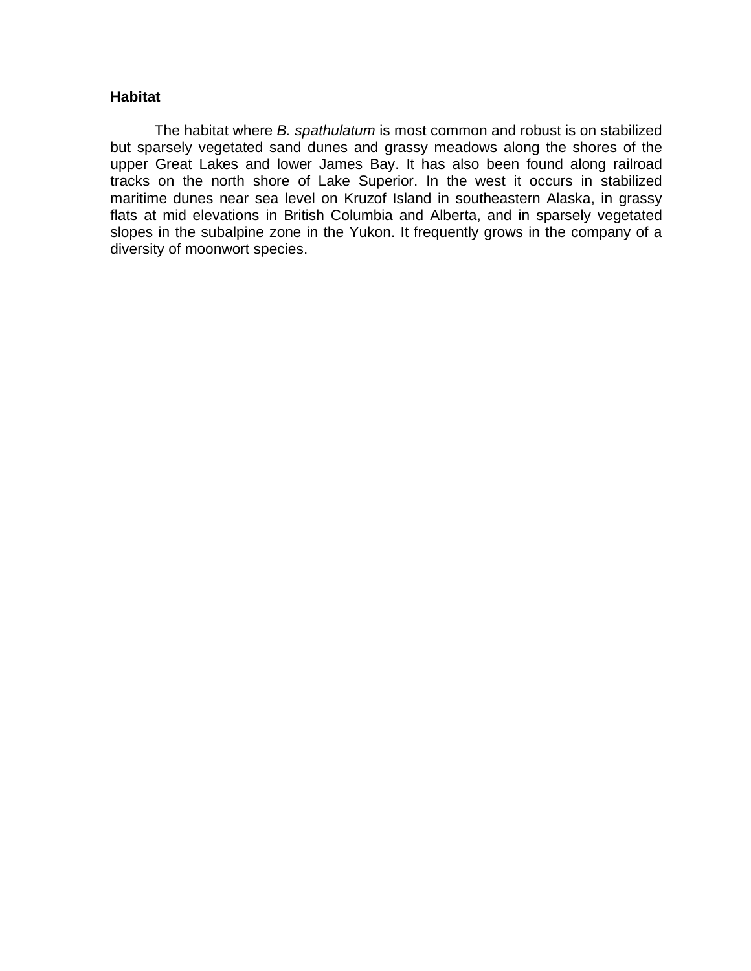#### **Habitat**

The habitat where *B. spathulatum* is most common and robust is on stabilized but sparsely vegetated sand dunes and grassy meadows along the shores of the upper Great Lakes and lower James Bay. It has also been found along railroad tracks on the north shore of Lake Superior. In the west it occurs in stabilized maritime dunes near sea level on Kruzof Island in southeastern Alaska, in grassy flats at mid elevations in British Columbia and Alberta, and in sparsely vegetated slopes in the subalpine zone in the Yukon. It frequently grows in the company of a diversity of moonwort species.